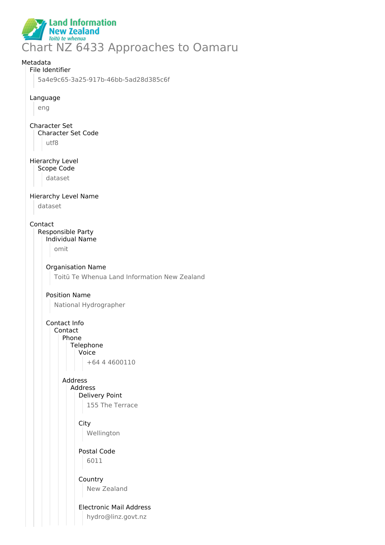

# Metadata File Identifier 5a4e9c65-3a25-917b-46bb-5ad28d385c6f Language eng Character Set Character Set Code utf8 Hierarchy Level Scope Code dataset Hierarchy Level Name dataset Contact Responsible Party Individual Name omit Organisation Name Toitū Te Whenua Land Information New Zealand Position Name National Hydrographer Contact Info Contact Phone **Telephone** Voice +64 4 4600110 Address Address Delivery Point 155 The Terrace **City** Wellington Postal Code 6011 Country New Zealand Electronic Mail Address

hydro@linz.govt.nz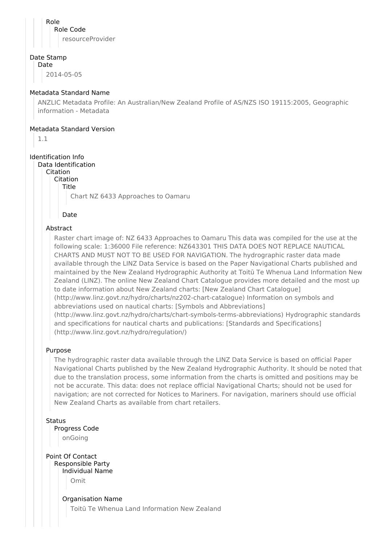Role Role Code resourceProvider

#### Date Stamp

Date

2014-05-05

## Metadata Standard Name

ANZLIC Metadata Profile: An Australian/New Zealand Profile of AS/NZS ISO 19115:2005, Geographic information - Metadata

## Metadata Standard Version

1.1

# Identification Info

Data Identification

Citation

Citation Title

Chart NZ 6433 Approaches to Oamaru

Date

## Abstract

Raster chart image of: NZ 6433 Approaches to Oamaru This data was compiled for the use at the following scale: 1:36000 File reference: NZ643301 THIS DATA DOES NOT REPLACE NAUTICAL CHARTS AND MUST NOT TO BE USED FOR NAVIGATION. The hydrographic raster data made available through the LINZ Data Service is based on the Paper Navigational Charts published and maintained by the New Zealand Hydrographic Authority at Toitū Te Whenua Land Information New Zealand (LINZ). The online New Zealand Chart Catalogue provides more detailed and the most up to date information about New Zealand charts: [New Zealand Chart Catalogue] (http://www.linz.govt.nz/hydro/charts/nz202-chart-catalogue) Information on symbols and abbreviations used on nautical charts: [Symbols and Abbreviations] (http://www.linz.govt.nz/hydro/charts/chart-symbols-terms-abbreviations) Hydrographic standards and specifications for nautical charts and publications: [Standards and Specifications] (http://www.linz.govt.nz/hydro/regulation/)

## Purpose

The hydrographic raster data available through the LINZ Data Service is based on official Paper Navigational Charts published by the New Zealand Hydrographic Authority. It should be noted that due to the translation process, some information from the charts is omitted and positions may be not be accurate. This data: does not replace official Navigational Charts; should not be used for navigation; are not corrected for Notices to Mariners. For navigation, mariners should use official New Zealand Charts as available from chart retailers.

## **Status**

Progress Code

onGoing

Point Of Contact Responsible Party Individual Name Omit

> Organisation Name Toitū Te Whenua Land Information New Zealand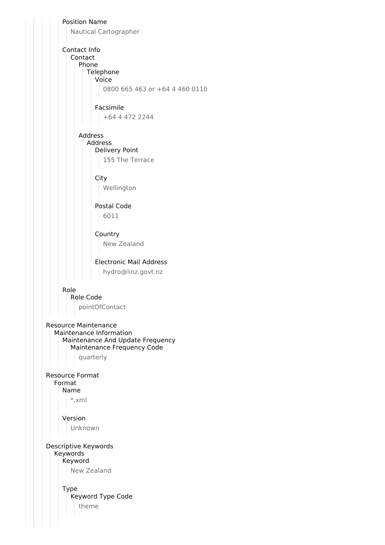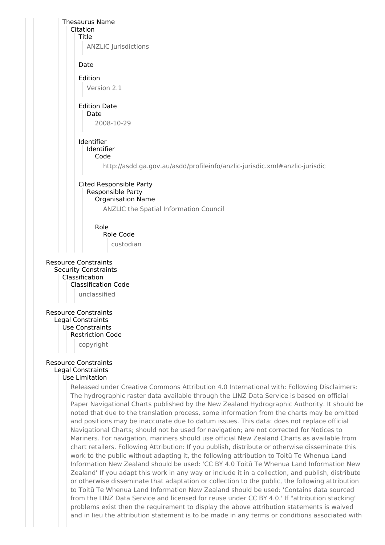

problems exist then the requirement to display the above attribution statements is waived and in lieu the attribution statement is to be made in any terms or conditions associated with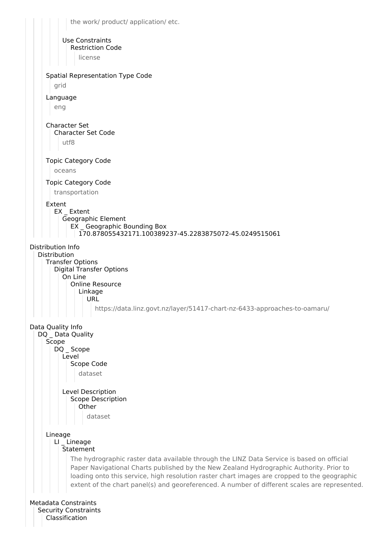